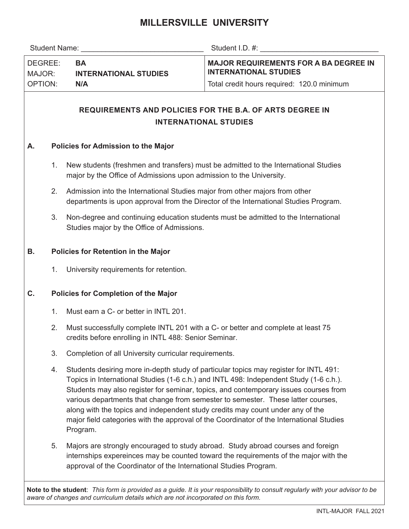## **MILLERSVILLE UNIVERSITY**

|                                     |                                                                                                                                                                           | Student Name: The Contract of the Contract of the Contract of the Contract of the Contract of the Contract of the Contract of the Contract of the Contract of the Contract of the Contract of the Contract of the Contract of                                           | Student I.D. #: the state of the state of the state of the state of the state of the state of the state of the state of the state of the state of the state of the state of the state of the state of the state of the state o                                             |  |  |  |  |  |  |
|-------------------------------------|---------------------------------------------------------------------------------------------------------------------------------------------------------------------------|-------------------------------------------------------------------------------------------------------------------------------------------------------------------------------------------------------------------------------------------------------------------------|----------------------------------------------------------------------------------------------------------------------------------------------------------------------------------------------------------------------------------------------------------------------------|--|--|--|--|--|--|
| DEGREE:<br>MAJOR:<br><b>OPTION:</b> |                                                                                                                                                                           | <b>BA</b><br><b>INTERNATIONAL STUDIES</b>                                                                                                                                                                                                                               | <b>MAJOR REQUIREMENTS FOR A BA DEGREE IN</b><br><b>INTERNATIONAL STUDIES</b>                                                                                                                                                                                               |  |  |  |  |  |  |
|                                     |                                                                                                                                                                           | N/A                                                                                                                                                                                                                                                                     | Total credit hours required: 120.0 minimum                                                                                                                                                                                                                                 |  |  |  |  |  |  |
|                                     |                                                                                                                                                                           |                                                                                                                                                                                                                                                                         | <b>REQUIREMENTS AND POLICIES FOR THE B.A. OF ARTS DEGREE IN</b><br><b>INTERNATIONAL STUDIES</b>                                                                                                                                                                            |  |  |  |  |  |  |
| Α.                                  | <b>Policies for Admission to the Major</b>                                                                                                                                |                                                                                                                                                                                                                                                                         |                                                                                                                                                                                                                                                                            |  |  |  |  |  |  |
|                                     | New students (freshmen and transfers) must be admitted to the International Studies<br>1.<br>major by the Office of Admissions upon admission to the University.          |                                                                                                                                                                                                                                                                         |                                                                                                                                                                                                                                                                            |  |  |  |  |  |  |
|                                     | 2.<br>Admission into the International Studies major from other majors from other<br>departments is upon approval from the Director of the International Studies Program. |                                                                                                                                                                                                                                                                         |                                                                                                                                                                                                                                                                            |  |  |  |  |  |  |
|                                     | 3.                                                                                                                                                                        | Non-degree and continuing education students must be admitted to the International<br>Studies major by the Office of Admissions.                                                                                                                                        |                                                                                                                                                                                                                                                                            |  |  |  |  |  |  |
| В.                                  |                                                                                                                                                                           | <b>Policies for Retention in the Major</b>                                                                                                                                                                                                                              |                                                                                                                                                                                                                                                                            |  |  |  |  |  |  |
|                                     | 1.                                                                                                                                                                        | University requirements for retention.                                                                                                                                                                                                                                  |                                                                                                                                                                                                                                                                            |  |  |  |  |  |  |
| C.                                  | <b>Policies for Completion of the Major</b>                                                                                                                               |                                                                                                                                                                                                                                                                         |                                                                                                                                                                                                                                                                            |  |  |  |  |  |  |
|                                     | 1.                                                                                                                                                                        | Must earn a C- or better in INTL 201.                                                                                                                                                                                                                                   |                                                                                                                                                                                                                                                                            |  |  |  |  |  |  |
|                                     | 2.                                                                                                                                                                        | Must successfully complete INTL 201 with a C- or better and complete at least 75<br>credits before enrolling in INTL 488: Senior Seminar.                                                                                                                               |                                                                                                                                                                                                                                                                            |  |  |  |  |  |  |
|                                     | 3.                                                                                                                                                                        | Completion of all University curricular requirements.                                                                                                                                                                                                                   |                                                                                                                                                                                                                                                                            |  |  |  |  |  |  |
|                                     | 4.                                                                                                                                                                        | Students desiring more in-depth study of particular topics may register for INTL 491:<br>various departments that change from semester to semester. These latter courses,<br>along with the topics and independent study credits may count under any of the<br>Program. | Topics in International Studies (1-6 c.h.) and INTL 498: Independent Study (1-6 c.h.).<br>Students may also register for seminar, topics, and contemporary issues courses from<br>major field categories with the approval of the Coordinator of the International Studies |  |  |  |  |  |  |
|                                     | 5.                                                                                                                                                                        | Majors are strongly encouraged to study abroad. Study abroad courses and foreign<br>approval of the Coordinator of the International Studies Program.                                                                                                                   | internships expereinces may be counted toward the requirements of the major with the                                                                                                                                                                                       |  |  |  |  |  |  |
|                                     |                                                                                                                                                                           |                                                                                                                                                                                                                                                                         | Note to the student: This form is provided as a guide. It is your responsibility to consult regularly with your advisor to be                                                                                                                                              |  |  |  |  |  |  |

*aware of changes and curriculum details which are not incorporated on this form.*